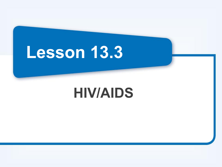# **Lesson 13.3**

# **HIV/AIDS**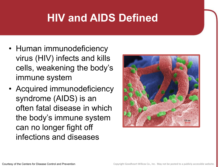# **HIV and AIDS Defined**

- Human immunodeficiency virus (HIV) infects and kills cells, weakening the body's immune system
- Acquired immunodeficiency syndrome (AIDS) is an often fatal disease in which the body's immune system can no longer fight off infections and diseases

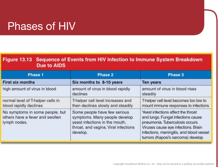#### Phases of HIV

| Figure 13.13 Sequence of Events from HIV Infection to Immune System Breakdown |
|-------------------------------------------------------------------------------|
| Due to AIDS                                                                   |

| Phase 1                                                                            | Phase 2                                                                                                                                             | Phase 3                                                                                                                                                                                                                              |
|------------------------------------------------------------------------------------|-----------------------------------------------------------------------------------------------------------------------------------------------------|--------------------------------------------------------------------------------------------------------------------------------------------------------------------------------------------------------------------------------------|
| <b>First six months</b>                                                            | Six months to 8-10 years                                                                                                                            | <b>Ten years</b>                                                                                                                                                                                                                     |
| high amount of virus in blood                                                      | amount of virus in blood rapidly<br>declines                                                                                                        | amount of virus in blood rises<br>steadily                                                                                                                                                                                           |
| normal level of T-helper cells in<br>blood rapidly declines                        | T-helper cell level increases and<br>then declines slowly and steadily                                                                              | T-helper cell level becomes too low to<br>mount immune responses to infections                                                                                                                                                       |
| No symptoms in some people, but<br>others have a fever and swollen<br>lymph nodes. | Some people have few serious<br>symptoms. Many people develop<br>yeast infections in the mouth.<br>throat, and vagina. Viral infections<br>develop. | Yeast infections affect the throat<br>and lungs. Fungal infections cause<br>pneumonia. Tuberculosis occurs.<br>Viruses cause eye infections. Brain<br>infections, meningitis, and blood vessel<br>tumors (Kaposi's sarcoma) develop. |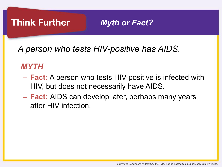#### **Think Further**

*Myth or Fact?* 

*A person who tests HIV-positive has AIDS.*

#### *MYTH*

- **– Fact:** A person who tests HIV-positive is infected with HIV, but does not necessarily have AIDS.
- **– Fact:** AIDS can develop later, perhaps many years after HIV infection.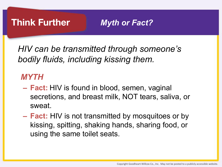

*Myth or Fact?* 

*HIV can be transmitted through someone's bodily fluids, including kissing them.*

#### *MYTH*

- **– Fact:** HIV is found in blood, semen, vaginal secretions, and breast milk, NOT tears, saliva, or sweat.
- **– Fact:** HIV is not transmitted by mosquitoes or by kissing, spitting, shaking hands, sharing food, or using the same toilet seats.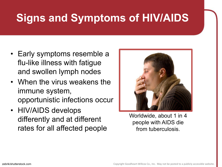# **Signs and Symptoms of HIV/AIDS**

- Early symptoms resemble a flu-like illness with fatigue and swollen lymph nodes
- When the virus weakens the immune system, opportunistic infections occur
- HIV/AIDS develops differently and at different rates for all affected people



Worldwide, about 1 in 4 people with AIDS die from tuberculosis.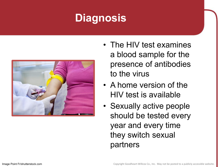# **Diagnosis**



- The HIV test examines a blood sample for the presence of antibodies to the virus
- A home version of the HIV test is available
- Sexually active people should be tested every year and every time they switch sexual partners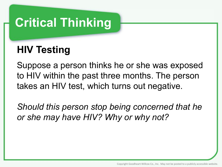# **Critical Thinking**

#### **HIV Testing**

Suppose a person thinks he or she was exposed to HIV within the past three months. The person takes an HIV test, which turns out negative.

*Should this person stop being concerned that he or she may have HIV? Why or why not?*

Copyright Goodheart-Willcox Co., Inc. May not be posted to a publicly accessible website.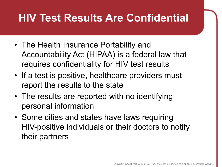### **HIV Test Results Are Confidential**

- The Health Insurance Portability and Accountability Act (HIPAA) is a federal law that requires confidentiality for HIV test results
- If a test is positive, healthcare providers must report the results to the state
- The results are reported with no identifying personal information
- Some cities and states have laws requiring HIV-positive individuals or their doctors to notify their partners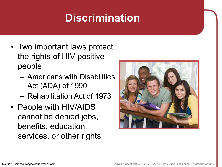### **Discrimination**

- Two important laws protect the rights of HIV-positive people
	- Americans with Disabilities Act (ADA) of 1990
	- Rehabilitation Act of 1973
- People with HIV/AIDS cannot be denied jobs, benefits, education, services, or other rights

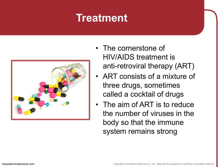#### **Treatment**



- The cornerstone of HIV/AIDS treatment is anti-retroviral therapy (ART)
- ART consists of a mixture of three drugs, sometimes called a cocktail of drugs
- The aim of ART is to reduce the number of viruses in the body so that the immune system remains strong